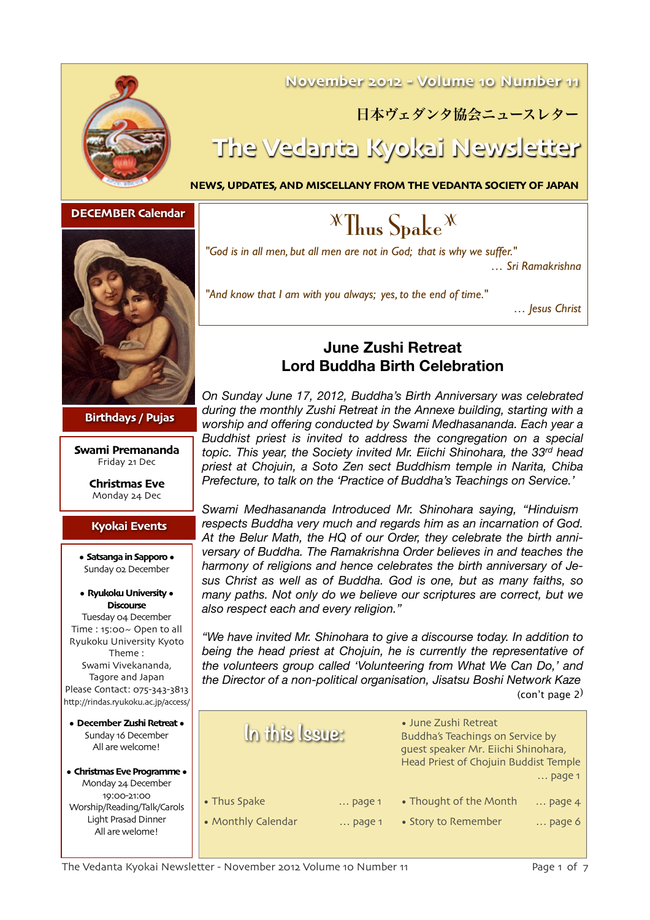

### **November 2012 - Volume 10 Number 11**

### 日本ヴェダンタ協会ニュースレター

# **The Vedanta Kyokai Newsletter**

**NEWS, UPDATES, AND MISCELLANY FROM THE VEDANTA SOCIETY OF JAPAN** 



**Birthdays / Pujas**

**Swami Premananda** Friday 21 Dec

> **Christmas Eve**  Monday 24 Dec

#### **Kyokai Events**

**• Satsanga in Sapporo •** Sunday 02 December

#### **• Ryukoku University • Discourse**

Tuesday 04 December Time : 15:00~ Open to all Ryukoku University Kyoto Theme : Swami Vivekananda, Tagore and Japan Please Contact: 075-343-3813 http://rindas.ryukoku.ac.jp/access/

**• December Zushi Retreat •** Sunday 16 December All are welcome!

#### **• Christmas Eve Programme •** Monday 24 December 19:00-21:00 Worship/Reading/Talk/Carols Light Prasad Dinner All are welome!

# **DECEMBER Calendar Z Thus Spake <sup>X</sup> Thus Spake <sup>X</sup>**

*"God is in all men, but all men are not in God; that is why we suffer." … Sri Ramakrishna*

*"And know that I am with you always; yes, to the end of time."* 

*… Jesus Christ* 

#### **June Zushi Retreat Lord Buddha Birth Celebration**

*On Sunday June 17, 2012, Buddha's Birth Anniversary was celebrated during the monthly Zushi Retreat in the Annexe building, starting with a worship and offering conducted by Swami Medhasananda. Each year a Buddhist priest is invited to address the congregation on a special topic. This year, the Society invited Mr. Eiichi Shinohara, the 33rd head priest at Chojuin, a Soto Zen sect Buddhism temple in Narita, Chiba Prefecture, to talk on the 'Practice of Buddha's Teachings on Service.'*

*Swami Medhasananda Introduced Mr. Shinohara saying, "Hinduism respects Buddha very much and regards him as an incarnation of God. At the Belur Math, the HQ of our Order, they celebrate the birth anniversary of Buddha. The Ramakrishna Order believes in and teaches the harmony of religions and hence celebrates the birth anniversary of Jesus Christ as well as of Buddha. God is one, but as many faiths, so many paths. Not only do we believe our scriptures are correct, but we also respect each and every religion."*

*"We have invited Mr. Shinohara to give a discourse today. In addition to*  being the head priest at Chojuin, he is currently the representative of *the volunteers group called 'Volunteering from What We Can Do,' and the Director of a non-political organisation, Jisatsu Boshi Network Kaze* (con't page 2)

| In this Issue:     |                 | • June Zushi Retreat<br>Buddha's Teachings on Service by<br>guest speaker Mr. Eiichi Shinohara,<br>Head Priest of Chojuin Buddist Temple<br>$\ldots$ page 1 |                   |
|--------------------|-----------------|-------------------------------------------------------------------------------------------------------------------------------------------------------------|-------------------|
| • Thus Spake       | $\ldots$ page 1 | • Thought of the Month                                                                                                                                      | $\ldots$ page $4$ |
| • Monthly Calendar | $\ldots$ page 1 | • Story to Remember                                                                                                                                         | $\ldots$ page 6   |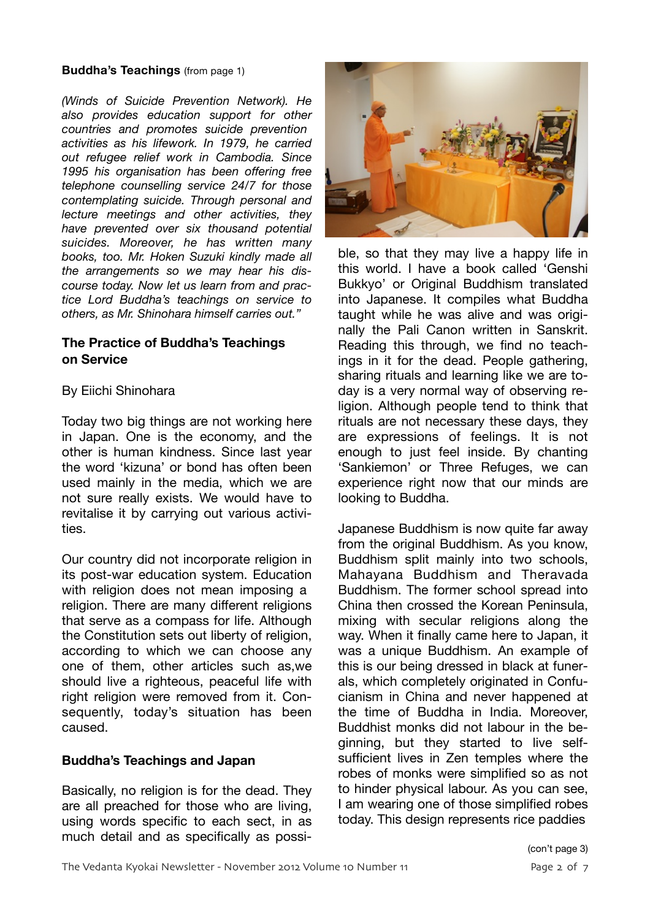#### **Buddha's Teachings** (from page 1)

*(Winds of Suicide Prevention Network). He also provides education support for other countries and promotes suicide prevention activities as his lifework. In 1979, he carried out refugee relief work in Cambodia. Since 1995 his organisation has been offering free telephone counselling service 24/7 for those contemplating suicide. Through personal and lecture meetings and other activities, they have prevented over six thousand potential suicides. Moreover, he has written many books, too. Mr. Hoken Suzuki kindly made all the arrangements so we may hear his discourse today. Now let us learn from and practice Lord Buddha's teachings on service to others, as Mr. Shinohara himself carries out."*

#### **The Practice of Buddha's Teachings on Service**

#### By Eiichi Shinohara

Today two big things are not working here in Japan. One is the economy, and the other is human kindness. Since last year the word 'kizuna' or bond has often been used mainly in the media, which we are not sure really exists. We would have to revitalise it by carrying out various activities.

Our country did not incorporate religion in its post-war education system. Education with religion does not mean imposing a religion. There are many different religions that serve as a compass for life. Although the Constitution sets out liberty of religion, according to which we can choose any one of them, other articles such as,we should live a righteous, peaceful life with right religion were removed from it. Consequently, today's situation has been caused.

#### **Buddha's Teachings and Japan**

Basically, no religion is for the dead. They are all preached for those who are living, using words specific to each sect, in as much detail and as specifically as possi-



ble, so that they may live a happy life in this world. I have a book called 'Genshi Bukkyo' or Original Buddhism translated into Japanese. It compiles what Buddha taught while he was alive and was originally the Pali Canon written in Sanskrit. Reading this through, we find no teachings in it for the dead. People gathering, sharing rituals and learning like we are today is a very normal way of observing religion. Although people tend to think that rituals are not necessary these days, they are expressions of feelings. It is not enough to just feel inside. By chanting 'Sankiemon' or Three Refuges, we can experience right now that our minds are looking to Buddha.

Japanese Buddhism is now quite far away from the original Buddhism. As you know, Buddhism split mainly into two schools, Mahayana Buddhism and Theravada Buddhism. The former school spread into China then crossed the Korean Peninsula, mixing with secular religions along the way. When it finally came here to Japan, it was a unique Buddhism. An example of this is our being dressed in black at funerals, which completely originated in Confucianism in China and never happened at the time of Buddha in India. Moreover, Buddhist monks did not labour in the beginning, but they started to live selfsufficient lives in Zen temples where the robes of monks were simplified so as not to hinder physical labour. As you can see, I am wearing one of those simplified robes today. This design represents rice paddies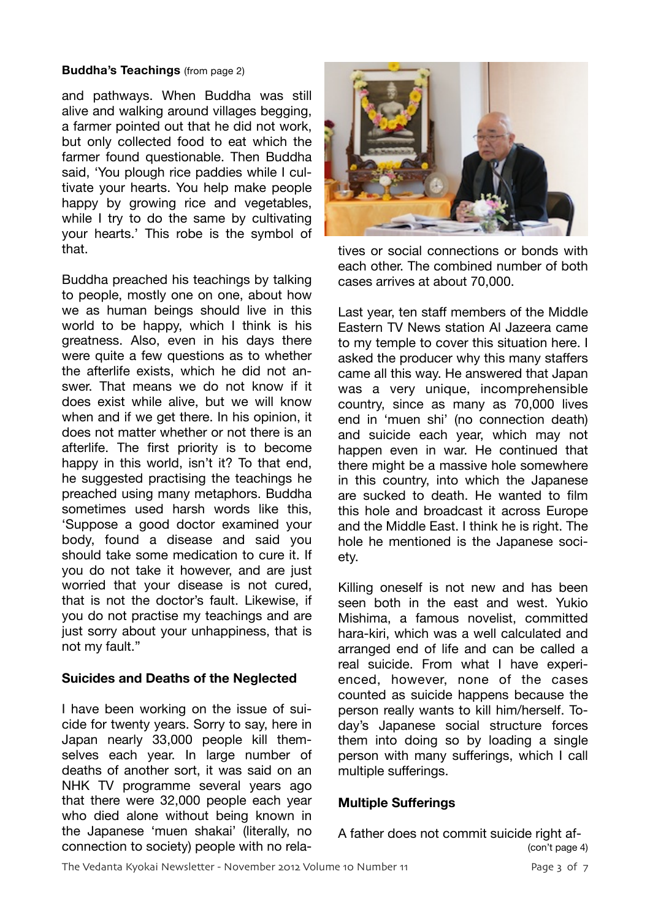#### **Buddha's Teachings** (from page 2)

and pathways. When Buddha was still alive and walking around villages begging, a farmer pointed out that he did not work, but only collected food to eat which the farmer found questionable. Then Buddha said, 'You plough rice paddies while I cultivate your hearts. You help make people happy by growing rice and vegetables, while I try to do the same by cultivating your hearts.' This robe is the symbol of that.

Buddha preached his teachings by talking to people, mostly one on one, about how we as human beings should live in this world to be happy, which I think is his greatness. Also, even in his days there were quite a few questions as to whether the afterlife exists, which he did not answer. That means we do not know if it does exist while alive, but we will know when and if we get there. In his opinion, it does not matter whether or not there is an afterlife. The first priority is to become happy in this world, isn't it? To that end, he suggested practising the teachings he preached using many metaphors. Buddha sometimes used harsh words like this, 'Suppose a good doctor examined your body, found a disease and said you should take some medication to cure it. If you do not take it however, and are just worried that your disease is not cured, that is not the doctor's fault. Likewise, if you do not practise my teachings and are just sorry about your unhappiness, that is not my fault."

#### **Suicides and Deaths of the Neglected**

I have been working on the issue of suicide for twenty years. Sorry to say, here in Japan nearly 33,000 people kill themselves each year. In large number of deaths of another sort, it was said on an NHK TV programme several years ago that there were 32,000 people each year who died alone without being known in the Japanese 'muen shakai' (literally, no connection to society) people with no rela-



tives or social connections or bonds with each other. The combined number of both cases arrives at about 70,000.

Last year, ten staff members of the Middle Eastern TV News station Al Jazeera came to my temple to cover this situation here. I asked the producer why this many staffers came all this way. He answered that Japan was a very unique, incomprehensible country, since as many as 70,000 lives end in 'muen shi' (no connection death) and suicide each year, which may not happen even in war. He continued that there might be a massive hole somewhere in this country, into which the Japanese are sucked to death. He wanted to film this hole and broadcast it across Europe and the Middle East. I think he is right. The hole he mentioned is the Japanese society.

Killing oneself is not new and has been seen both in the east and west. Yukio Mishima, a famous novelist, committed hara-kiri, which was a well calculated and arranged end of life and can be called a real suicide. From what I have experienced, however, none of the cases counted as suicide happens because the person really wants to kill him/herself. Today's Japanese social structure forces them into doing so by loading a single person with many sufferings, which I call multiple sufferings.

#### **Multiple Sufferings**

A father does not commit suicide right af- (con't page 4)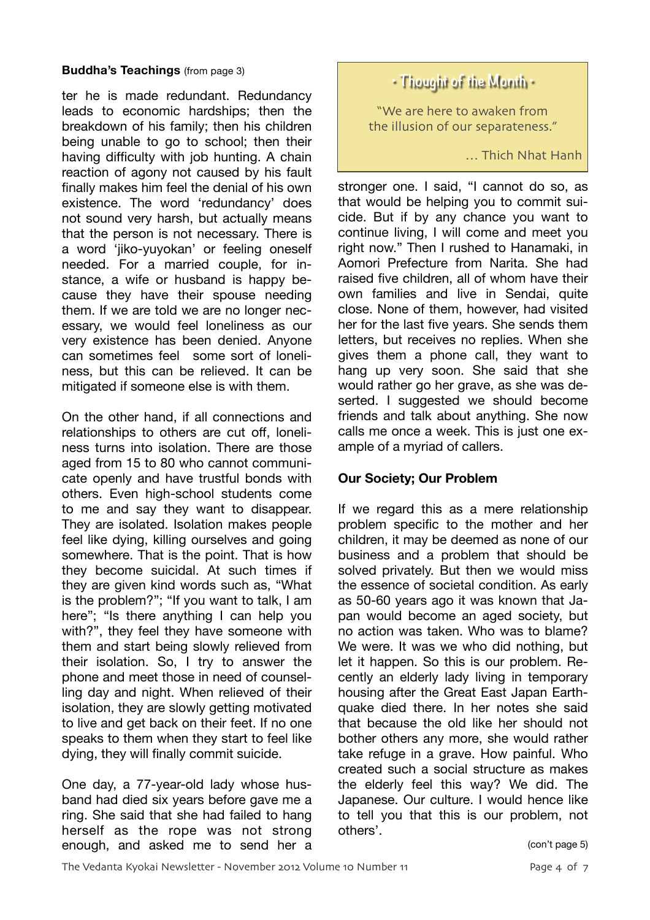#### **Buddha's Teachings** (from page 3)

ter he is made redundant. Redundancy leads to economic hardships; then the breakdown of his family; then his children being unable to go to school; then their having difficulty with job hunting. A chain reaction of agony not caused by his fault finally makes him feel the denial of his own existence. The word 'redundancy' does not sound very harsh, but actually means that the person is not necessary. There is a word 'jiko-yuyokan' or feeling oneself needed. For a married couple, for instance, a wife or husband is happy because they have their spouse needing them. If we are told we are no longer necessary, we would feel loneliness as our very existence has been denied. Anyone can sometimes feel some sort of loneliness, but this can be relieved. It can be mitigated if someone else is with them.

On the other hand, if all connections and relationships to others are cut off, loneliness turns into isolation. There are those aged from 15 to 80 who cannot communicate openly and have trustful bonds with others. Even high-school students come to me and say they want to disappear. They are isolated. Isolation makes people feel like dying, killing ourselves and going somewhere. That is the point. That is how they become suicidal. At such times if they are given kind words such as, "What is the problem?"; "If you want to talk, I am here"; "Is there anything I can help you with?", they feel they have someone with them and start being slowly relieved from their isolation. So, I try to answer the phone and meet those in need of counselling day and night. When relieved of their isolation, they are slowly getting motivated to live and get back on their feet. If no one speaks to them when they start to feel like dying, they will finally commit suicide.

One day, a 77-year-old lady whose husband had died six years before gave me a ring. She said that she had failed to hang herself as the rope was not strong enough, and asked me to send her a

### **• Thought of the Month •**

"We are here to awaken from the illusion of our separateness."

… Thich Nhat Hanh

stronger one. I said, "I cannot do so, as that would be helping you to commit suicide. But if by any chance you want to continue living, I will come and meet you right now." Then I rushed to Hanamaki, in Aomori Prefecture from Narita. She had raised five children, all of whom have their own families and live in Sendai, quite close. None of them, however, had visited her for the last five years. She sends them letters, but receives no replies. When she gives them a phone call, they want to hang up very soon. She said that she would rather go her grave, as she was deserted. I suggested we should become friends and talk about anything. She now calls me once a week. This is just one example of a myriad of callers.

#### **Our Society; Our Problem**

If we regard this as a mere relationship problem specific to the mother and her children, it may be deemed as none of our business and a problem that should be solved privately. But then we would miss the essence of societal condition. As early as 50-60 years ago it was known that Japan would become an aged society, but no action was taken. Who was to blame? We were. It was we who did nothing, but let it happen. So this is our problem. Recently an elderly lady living in temporary housing after the Great East Japan Earthquake died there. In her notes she said that because the old like her should not bother others any more, she would rather take refuge in a grave. How painful. Who created such a social structure as makes the elderly feel this way? We did. The Japanese. Our culture. I would hence like to tell you that this is our problem, not others'.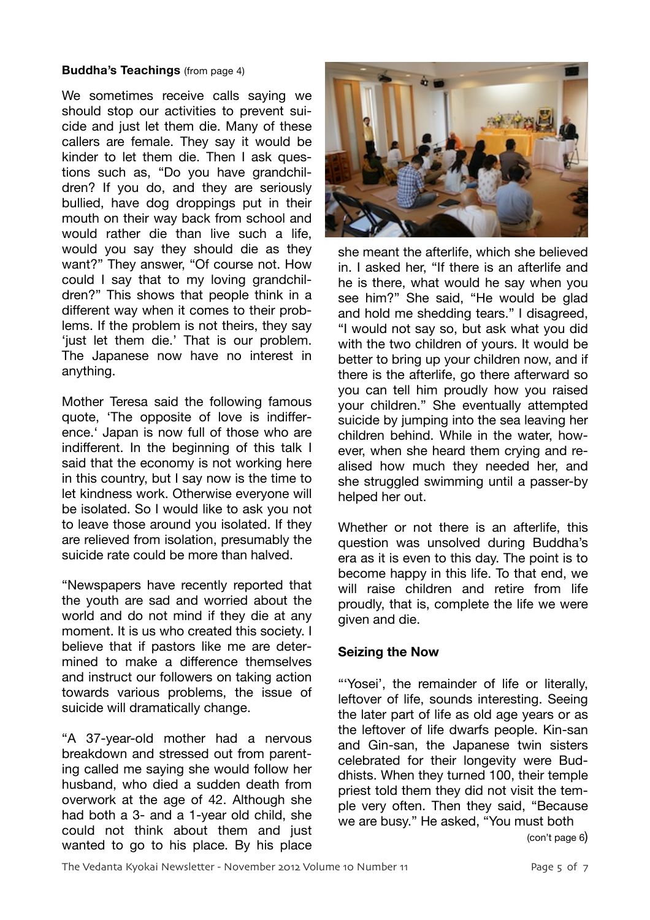#### **Buddha's Teachings** (from page 4)

We sometimes receive calls saying we should stop our activities to prevent suicide and just let them die. Many of these callers are female. They say it would be kinder to let them die. Then I ask questions such as, "Do you have grandchildren? If you do, and they are seriously bullied, have dog droppings put in their mouth on their way back from school and would rather die than live such a life, would you say they should die as they want?" They answer, "Of course not. How could I say that to my loving grandchildren?" This shows that people think in a different way when it comes to their problems. If the problem is not theirs, they say 'just let them die.' That is our problem. The Japanese now have no interest in anything.

Mother Teresa said the following famous quote, 'The opposite of love is indifference.' Japan is now full of those who are indifferent. In the beginning of this talk I said that the economy is not working here in this country, but I say now is the time to let kindness work. Otherwise everyone will be isolated. So I would like to ask you not to leave those around you isolated. If they are relieved from isolation, presumably the suicide rate could be more than halved.

"Newspapers have recently reported that the youth are sad and worried about the world and do not mind if they die at any moment. It is us who created this society. I believe that if pastors like me are determined to make a difference themselves and instruct our followers on taking action towards various problems, the issue of suicide will dramatically change.

"A 37-year-old mother had a nervous breakdown and stressed out from parenting called me saying she would follow her husband, who died a sudden death from overwork at the age of 42. Although she had both a 3- and a 1-year old child, she could not think about them and just wanted to go to his place. By his place



she meant the afterlife, which she believed in. I asked her, "If there is an afterlife and he is there, what would he say when you see him?" She said, "He would be glad and hold me shedding tears." I disagreed, "I would not say so, but ask what you did with the two children of yours. It would be better to bring up your children now, and if there is the afterlife, go there afterward so you can tell him proudly how you raised your children." She eventually attempted suicide by jumping into the sea leaving her children behind. While in the water, however, when she heard them crying and realised how much they needed her, and she struggled swimming until a passer-by helped her out.

Whether or not there is an afterlife, this question was unsolved during Buddha's era as it is even to this day. The point is to become happy in this life. To that end, we will raise children and retire from life proudly, that is, complete the life we were given and die.

#### **Seizing the Now**

"'Yosei', the remainder of life or literally, leftover of life, sounds interesting. Seeing the later part of life as old age years or as the leftover of life dwarfs people. Kin-san and Gin-san, the Japanese twin sisters celebrated for their longevity were Buddhists. When they turned 100, their temple priest told them they did not visit the temple very often. Then they said, "Because we are busy." He asked, "You must both

(con't page 6)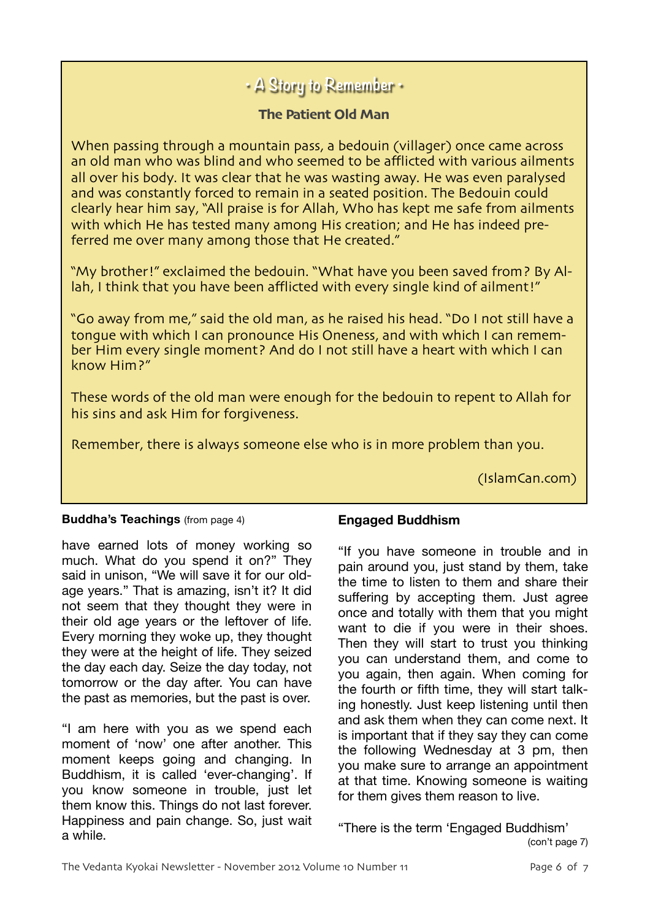## **• A Story to Remember •**

#### **The Patient Old Man**

When passing through a mountain pass, a bedouin (villager) once came across an old man who was blind and who seemed to be afflicted with various ailments all over his body. It was clear that he was wasting away. He was even paralysed and was constantly forced to remain in a seated position. The Bedouin could clearly hear him say, "All praise is for Allah, Who has kept me safe from ailments with which He has tested many among His creation; and He has indeed preferred me over many among those that He created."

"My brother!" exclaimed the bedouin. "What have you been saved from? By Allah, I think that you have been afflicted with every single kind of ailment!"

"Go away from me," said the old man, as he raised his head. "Do I not still have a tongue with which I can pronounce His Oneness, and with which I can remember Him every single moment? And do I not still have a heart with which I can know Him?"

These words of the old man were enough for the bedouin to repent to Allah for his sins and ask Him for forgiveness.

Remember, there is always someone else who is in more problem than you.

(IslamCan.com)

#### **Buddha's Teachings** (from page 4)

have earned lots of money working so much. What do you spend it on?" They said in unison, "We will save it for our oldage years." That is amazing, isn't it? It did not seem that they thought they were in their old age years or the leftover of life. Every morning they woke up, they thought they were at the height of life. They seized the day each day. Seize the day today, not tomorrow or the day after. You can have the past as memories, but the past is over.

"I am here with you as we spend each moment of 'now' one after another. This moment keeps going and changing. In Buddhism, it is called 'ever-changing'. If you know someone in trouble, just let them know this. Things do not last forever. Happiness and pain change. So, just wait a while.

#### **Engaged Buddhism**

"If you have someone in trouble and in pain around you, just stand by them, take the time to listen to them and share their suffering by accepting them. Just agree once and totally with them that you might want to die if you were in their shoes. Then they will start to trust you thinking you can understand them, and come to you again, then again. When coming for the fourth or fifth time, they will start talking honestly. Just keep listening until then and ask them when they can come next. It is important that if they say they can come the following Wednesday at 3 pm, then you make sure to arrange an appointment at that time. Knowing someone is waiting for them gives them reason to live.

"There is the term 'Engaged Buddhism' (con't page 7)